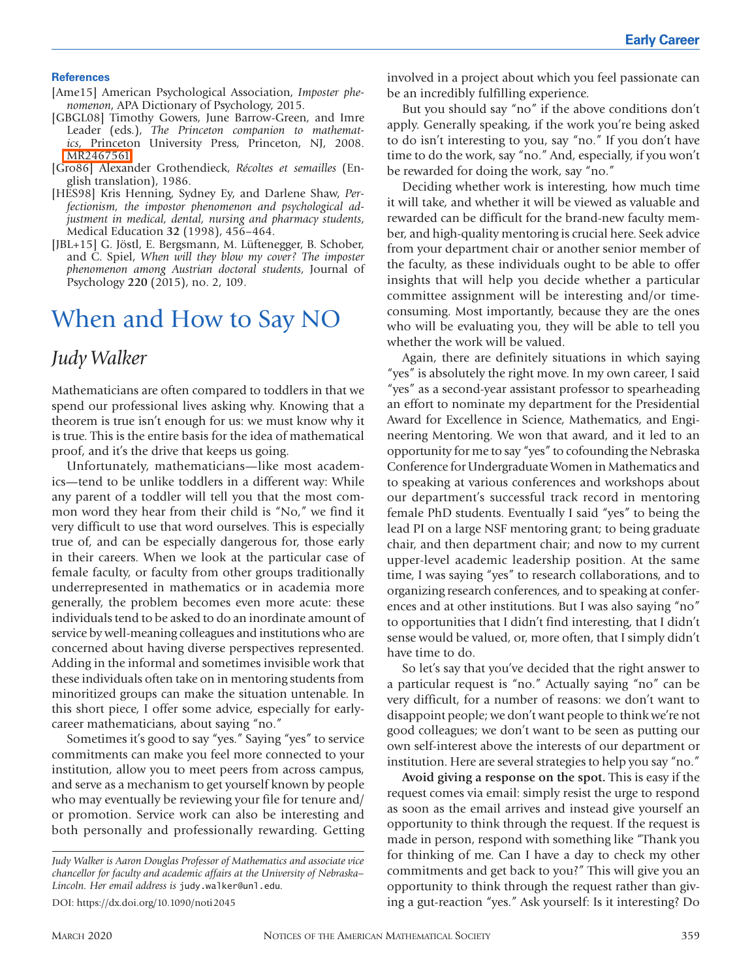#### **References**

- [Ame15] American Psychological Association, *Imposter phenomenon*, APA Dictionary of Psychology, 2015.
- [GBGL08] Timothy Gowers, June Barrow-Green, and Imre Leader (eds.), *The Princeton companion to mathematics*, Princeton University Press, Princeton, NJ, 2008. [MR2467561](http://www.ams.org/mathscinet-getitem?mr=2467561)
- [Gro86] Alexander Grothendieck, *Récoltes et semailles* (English translation), 1986.
- [HES98] Kris Henning, Sydney Ey, and Darlene Shaw, *Perfectionism, the impostor phenomenon and psychological adjustment in medical, dental, nursing and pharmacy students*, Medical Education **32** (1998), 456–464.
- [JBL+15] G. Jöstl, E. Bergsmann, M. Lüftenegger, B. Schober, and C. Spiel, *When will they blow my cover? The imposter phenomenon among Austrian doctoral students*, Journal of Psychology **220** (2015), no. 2, 109.

# When and How to Say NO

### *Judy Walker*

Mathematicians are often compared to toddlers in that we spend our professional lives asking why. Knowing that a theorem is true isn't enough for us: we must know why it is true. This is the entire basis for the idea of mathematical proof, and it's the drive that keeps us going.

Unfortunately, mathematicians—like most academics—tend to be unlike toddlers in a different way: While any parent of a toddler will tell you that the most common word they hear from their child is "No," we find it very difficult to use that word ourselves. This is especially true of, and can be especially dangerous for, those early in their careers. When we look at the particular case of female faculty, or faculty from other groups traditionally underrepresented in mathematics or in academia more generally, the problem becomes even more acute: these individuals tend to be asked to do an inordinate amount of service by well-meaning colleagues and institutions who are concerned about having diverse perspectives represented. Adding in the informal and sometimes invisible work that these individuals often take on in mentoring students from minoritized groups can make the situation untenable. In this short piece, I offer some advice, especially for earlycareer mathematicians, about saying "no."

Sometimes it's good to say "yes." Saying "yes" to service commitments can make you feel more connected to your institution, allow you to meet peers from across campus, and serve as a mechanism to get yourself known by people who may eventually be reviewing your file for tenure and/ or promotion. Service work can also be interesting and both personally and professionally rewarding. Getting

*Judy Walker is Aaron Douglas Professor of Mathematics and associate vice chancellor for faculty and academic affairs at the University of Nebraska– Lincoln. Her email address is* judy.walker@unl.edu*.* DOI: https://dx.doi.org/10.1090/noti2045

involved in a project about which you feel passionate can be an incredibly fulfilling experience.

But you should say "no" if the above conditions don't apply. Generally speaking, if the work you're being asked to do isn't interesting to you, say "no." If you don't have time to do the work, say "no." And, especially, if you won't be rewarded for doing the work, say "no."

Deciding whether work is interesting, how much time it will take, and whether it will be viewed as valuable and rewarded can be difficult for the brand-new faculty member, and high-quality mentoring is crucial here. Seek advice from your department chair or another senior member of the faculty, as these individuals ought to be able to offer insights that will help you decide whether a particular committee assignment will be interesting and/or timeconsuming. Most importantly, because they are the ones who will be evaluating you, they will be able to tell you whether the work will be valued.

Again, there are definitely situations in which saying "yes" is absolutely the right move. In my own career, I said "yes" as a second-year assistant professor to spearheading an effort to nominate my department for the Presidential Award for Excellence in Science, Mathematics, and Engineering Mentoring. We won that award, and it led to an opportunity for me to say "yes" to cofounding the Nebraska Conference for Undergraduate Women in Mathematics and to speaking at various conferences and workshops about our department's successful track record in mentoring female PhD students. Eventually I said "yes" to being the lead PI on a large NSF mentoring grant; to being graduate chair, and then department chair; and now to my current upper-level academic leadership position. At the same time, I was saying "yes" to research collaborations, and to organizing research conferences, and to speaking at conferences and at other institutions. But I was also saying "no" to opportunities that I didn't find interesting, that I didn't sense would be valued, or, more often, that I simply didn't have time to do.

So let's say that you've decided that the right answer to a particular request is "no." Actually saying "no" can be very difficult, for a number of reasons: we don't want to disappoint people; we don't want people to think we're not good colleagues; we don't want to be seen as putting our own self-interest above the interests of our department or institution. Here are several strategies to help you say "no."

**Avoid giving a response on the spot.** This is easy if the request comes via email: simply resist the urge to respond as soon as the email arrives and instead give yourself an opportunity to think through the request. If the request is made in person, respond with something like "Thank you for thinking of me. Can I have a day to check my other commitments and get back to you?" This will give you an opportunity to think through the request rather than giving a gut-reaction "yes." Ask yourself: Is it interesting? Do